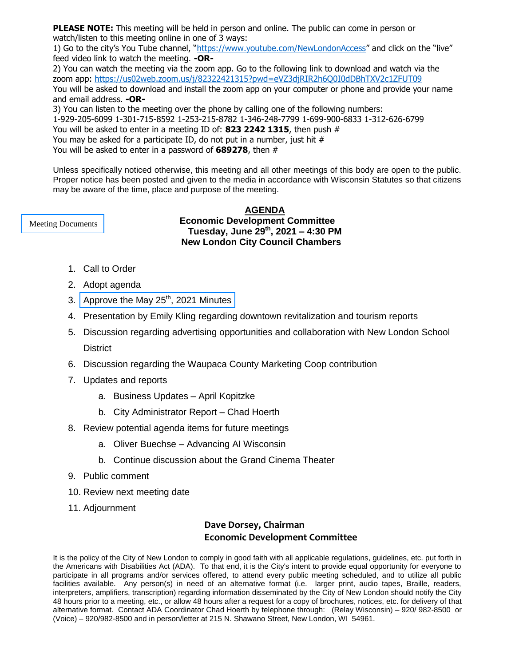**PLEASE NOTE:** This meeting will be held in person and online. The public can come in person or watch/listen to this meeting online in one of 3 ways:

1) Go to the city's You Tube channel, "<https://www.youtube.com/NewLondonAccess>" and click on the "live" feed video link to watch the meeting. **-OR-**

2) You can watch the meeting via the zoom app. Go to the following link to download and watch via the zoom app:<https://us02web.zoom.us/j/82322421315?pwd=eVZ3djRIR2h6Q0I0dDBhTXV2c1ZFUT09> You will be asked to download and install the zoom app on your computer or phone and provide your name and email address. **-OR-**

3) You can listen to the meeting over the phone by calling one of the following numbers: 1-929-205-6099 1-301-715-8592 1-253-215-8782 1-346-248-7799 1-699-900-6833 1-312-626-6799 You will be asked to enter in a meeting ID of: **823 2242 1315**, then push # You may be asked for a participate ID, do not put in a number, just hit  $#$ You will be asked to enter in a password of **689278**, then #

Unless specifically noticed otherwise, this meeting and all other meetings of this body are open to the public. Proper notice has been posted and given to the media in accordance with Wisconsin Statutes so that citizens may be aware of the time, place and purpose of the meeting.

<span id="page-0-0"></span>[Meeting Documents](#page-1-0)

**AGENDA Economic Development Committee Tuesday, June 29th , 2021 – 4:30 PM New London City Council Chambers**

- 1. Call to Order
- 2. Adopt agenda
- 3. Approve the May  $25<sup>th</sup>$ [, 2021 Minutes](#page-2-0)
- 4. Presentation by Emily Kling regarding downtown revitalization and tourism reports
- 5. Discussion regarding advertising opportunities and collaboration with New London School **District**
- 6. Discussion regarding the Waupaca County Marketing Coop contribution
- 7. Updates and reports
	- a. Business Updates April Kopitzke
	- b. City Administrator Report Chad Hoerth
- 8. Review potential agenda items for future meetings
	- a. Oliver Buechse Advancing AI Wisconsin
	- b. Continue discussion about the Grand Cinema Theater
- 9. Public comment
- 10. Review next meeting date
- 11. Adjournment

### **Dave Dorsey, Chairman Economic Development Committee**

It is the policy of the City of New London to comply in good faith with all applicable regulations, guidelines, etc. put forth in the Americans with Disabilities Act (ADA). To that end, it is the City's intent to provide equal opportunity for everyone to participate in all programs and/or services offered, to attend every public meeting scheduled, and to utilize all public facilities available. Any person(s) in need of an alternative format (i.e. larger print, audio tapes, Braille, readers, interpreters, amplifiers, transcription) regarding information disseminated by the City of New London should notify the City 48 hours prior to a meeting, etc., or allow 48 hours after a request for a copy of brochures, notices, etc. for delivery of that alternative format. Contact ADA Coordinator Chad Hoerth by telephone through: (Relay Wisconsin) – 920/ 982-8500 or (Voice) – 920/982-8500 and in person/letter at 215 N. Shawano Street, New London, WI 54961.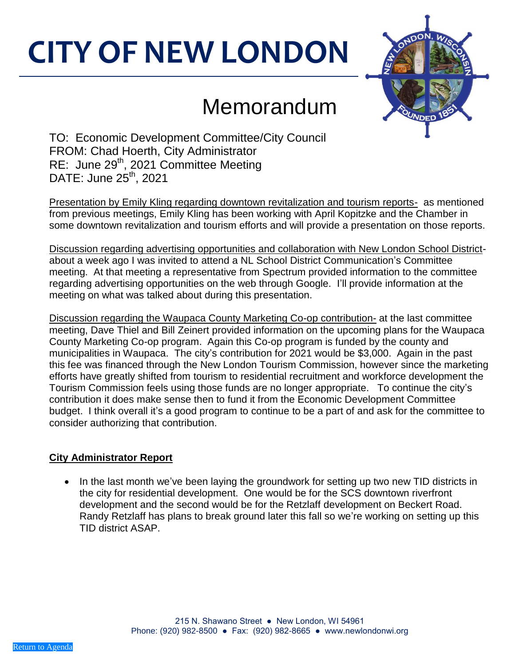# <span id="page-1-0"></span>**CITY OF NEW LONDON**



# Memorandum

TO: Economic Development Committee/City Council FROM: Chad Hoerth, City Administrator RE: June 29<sup>th</sup>, 2021 Committee Meeting DATE: June 25<sup>th</sup>, 2021

Presentation by Emily Kling regarding downtown revitalization and tourism reports- as mentioned from previous meetings, Emily Kling has been working with April Kopitzke and the Chamber in some downtown revitalization and tourism efforts and will provide a presentation on those reports.

Discussion regarding advertising opportunities and collaboration with New London School Districtabout a week ago I was invited to attend a NL School District Communication's Committee meeting. At that meeting a representative from Spectrum provided information to the committee regarding advertising opportunities on the web through Google. I'll provide information at the meeting on what was talked about during this presentation.

Discussion regarding the Waupaca County Marketing Co-op contribution- at the last committee meeting, Dave Thiel and Bill Zeinert provided information on the upcoming plans for the Waupaca County Marketing Co-op program. Again this Co-op program is funded by the county and municipalities in Waupaca. The city's contribution for 2021 would be \$3,000. Again in the past this fee was financed through the New London Tourism Commission, however since the marketing efforts have greatly shifted from tourism to residential recruitment and workforce development the Tourism Commission feels using those funds are no longer appropriate. To continue the city's contribution it does make sense then to fund it from the Economic Development Committee budget. I think overall it's a good program to continue to be a part of and ask for the committee to consider authorizing that contribution.

## **City Administrator Report**

 In the last month we've been laying the groundwork for setting up two new TID districts in the city for residential development. One would be for the SCS downtown riverfront development and the second would be for the Retzlaff development on Beckert Road. Randy Retzlaff has plans to break ground later this fall so we're working on setting up this TID district ASAP.

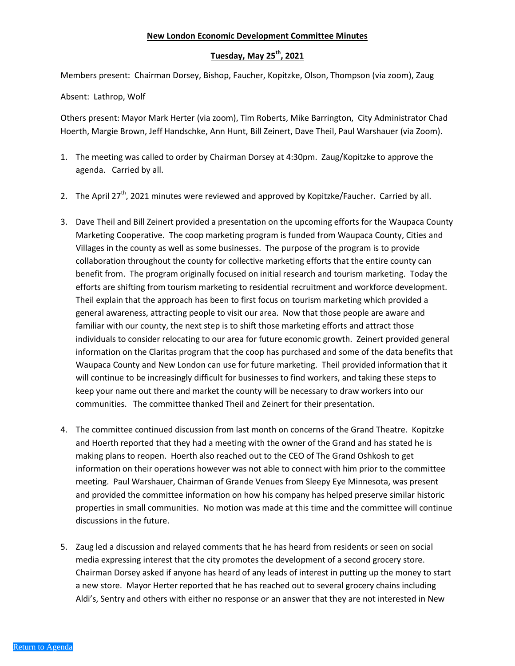#### **New London Economic Development Committee Minutes**

#### **Tuesday, May 25th , 2021**

<span id="page-2-0"></span>Members present: Chairman Dorsey, Bishop, Faucher, Kopitzke, Olson, Thompson (via zoom), Zaug

Absent: Lathrop, Wolf

Others present: Mayor Mark Herter (via zoom), Tim Roberts, Mike Barrington, City Administrator Chad Hoerth, Margie Brown, Jeff Handschke, Ann Hunt, Bill Zeinert, Dave Theil, Paul Warshauer (via Zoom).

- 1. The meeting was called to order by Chairman Dorsey at 4:30pm. Zaug/Kopitzke to approve the agenda. Carried by all.
- 2. The April 27<sup>th</sup>, 2021 minutes were reviewed and approved by Kopitzke/Faucher. Carried by all.
- 3. Dave Theil and Bill Zeinert provided a presentation on the upcoming efforts for the Waupaca County Marketing Cooperative. The coop marketing program is funded from Waupaca County, Cities and Villages in the county as well as some businesses. The purpose of the program is to provide collaboration throughout the county for collective marketing efforts that the entire county can benefit from. The program originally focused on initial research and tourism marketing. Today the efforts are shifting from tourism marketing to residential recruitment and workforce development. Theil explain that the approach has been to first focus on tourism marketing which provided a general awareness, attracting people to visit our area. Now that those people are aware and familiar with our county, the next step is to shift those marketing efforts and attract those individuals to consider relocating to our area for future economic growth. Zeinert provided general information on the Claritas program that the coop has purchased and some of the data benefits that Waupaca County and New London can use for future marketing. Theil provided information that it will continue to be increasingly difficult for businesses to find workers, and taking these steps to keep your name out there and market the county will be necessary to draw workers into our communities. The committee thanked Theil and Zeinert for their presentation.
- 4. The committee continued discussion from last month on concerns of the Grand Theatre. Kopitzke and Hoerth reported that they had a meeting with the owner of the Grand and has stated he is making plans to reopen. Hoerth also reached out to the CEO of The Grand Oshkosh to get information on their operations however was not able to connect with him prior to the committee meeting. Paul Warshauer, Chairman of Grande Venues from Sleepy Eye Minnesota, was present and provided the committee information on how his company has helped preserve similar historic properties in small communities. No motion was made at this time and the committee will continue discussions in the future.
- 5. Zaug led a discussion and relayed comments that he has heard from residents or seen on social media expressing interest that the city promotes the development of a second grocery store. Chairman Dorsey asked if anyone has heard of any leads of interest in putting up the money to start a new store. Mayor Herter reported that he has reached out to several grocery chains including Aldi's, Sentry and others with either no response or an answer that they are not interested in New